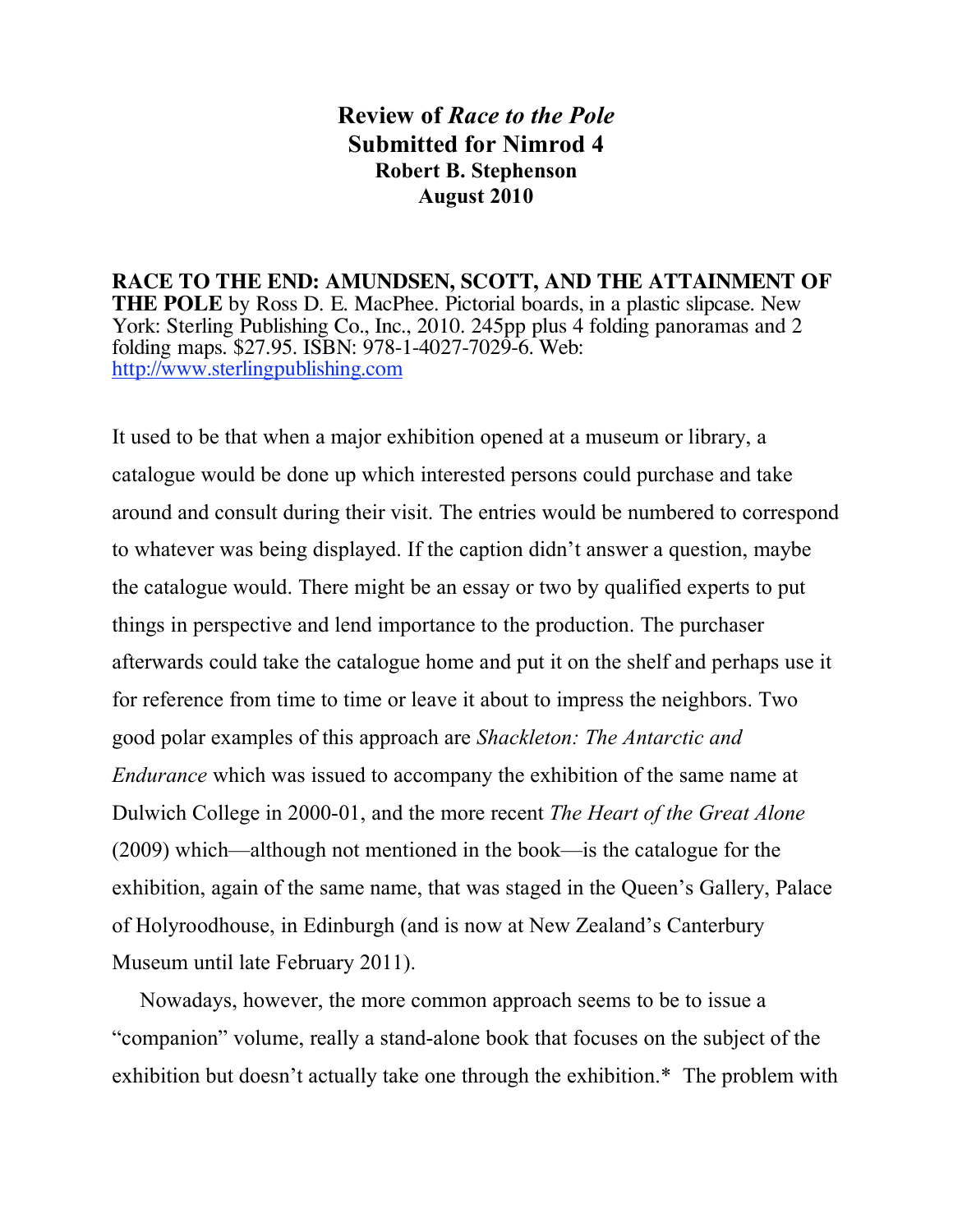## **Review of** *Race to the Pole* **Submitted for Nimrod 4 Robert B. Stephenson August 2010**

**RACE TO THE END: AMUNDSEN, SCOTT, AND THE ATTAINMENT OF THE POLE** by Ross D. E. MacPhee. Pictorial boards, in a plastic slipcase. New York: Sterling Publishing Co., Inc., 2010. 245pp plus 4 folding panoramas and 2 folding maps. \$27.95. ISBN: 978-1-4027-7029-6. Web: http://www.sterlingpublishing.com

It used to be that when a major exhibition opened at a museum or library, a catalogue would be done up which interested persons could purchase and take around and consult during their visit. The entries would be numbered to correspond to whatever was being displayed. If the caption didn't answer a question, maybe the catalogue would. There might be an essay or two by qualified experts to put things in perspective and lend importance to the production. The purchaser afterwards could take the catalogue home and put it on the shelf and perhaps use it for reference from time to time or leave it about to impress the neighbors. Two good polar examples of this approach are *Shackleton: The Antarctic and Endurance* which was issued to accompany the exhibition of the same name at Dulwich College in 2000-01, and the more recent *The Heart of the Great Alone* (2009) which—although not mentioned in the book—is the catalogue for the exhibition, again of the same name, that was staged in the Queen's Gallery, Palace of Holyroodhouse, in Edinburgh (and is now at New Zealand's Canterbury Museum until late February 2011).

Nowadays, however, the more common approach seems to be to issue a "companion" volume, really a stand-alone book that focuses on the subject of the exhibition but doesn't actually take one through the exhibition.\* The problem with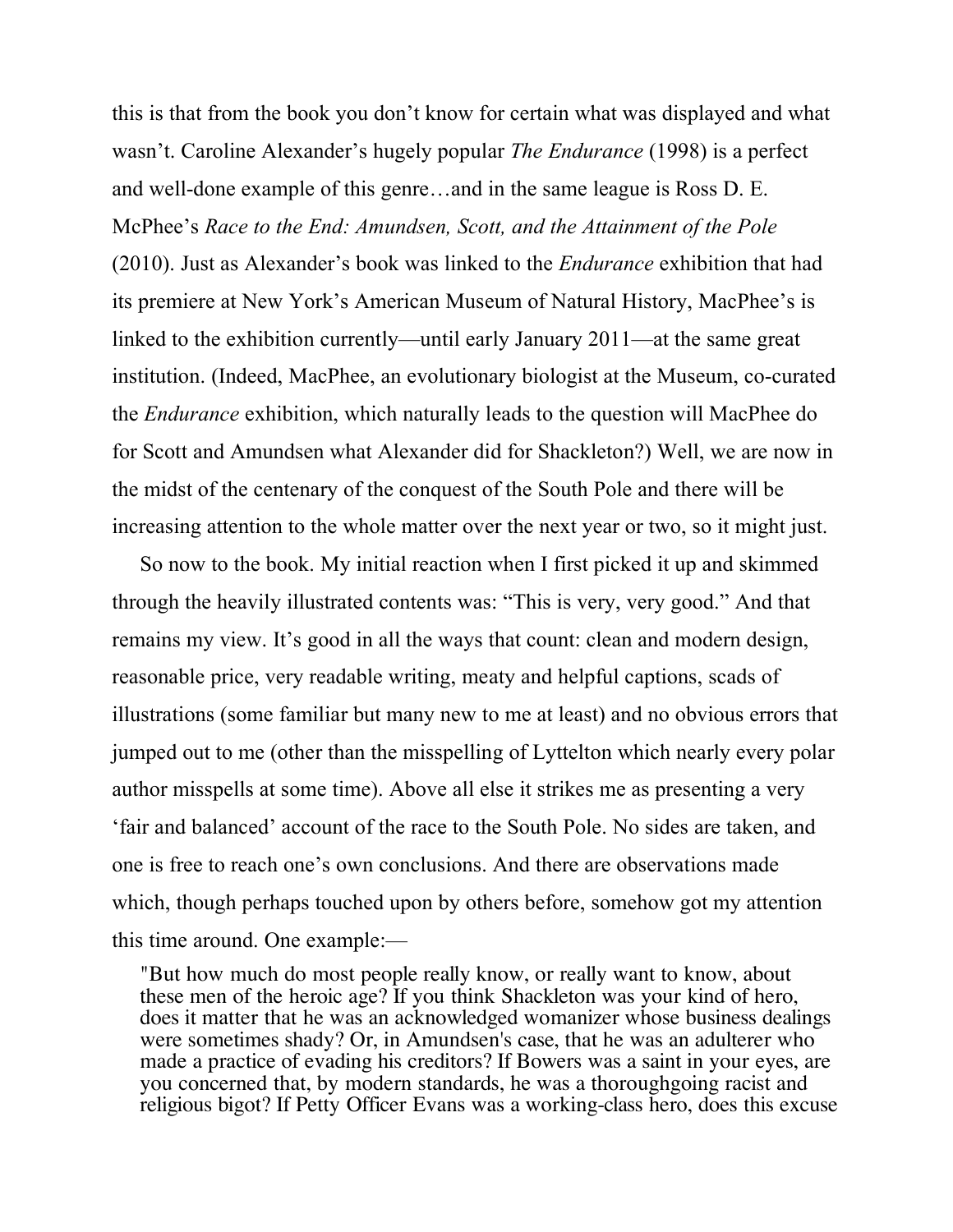this is that from the book you don't know for certain what was displayed and what wasn't. Caroline Alexander's hugely popular *The Endurance* (1998) is a perfect and well-done example of this genre…and in the same league is Ross D. E. McPhee's *Race to the End: Amundsen, Scott, and the Attainment of the Pole* (2010). Just as Alexander's book was linked to the *Endurance* exhibition that had its premiere at New York's American Museum of Natural History, MacPhee's is linked to the exhibition currently—until early January 2011—at the same great institution. (Indeed, MacPhee, an evolutionary biologist at the Museum, co-curated the *Endurance* exhibition, which naturally leads to the question will MacPhee do for Scott and Amundsen what Alexander did for Shackleton?) Well, we are now in the midst of the centenary of the conquest of the South Pole and there will be increasing attention to the whole matter over the next year or two, so it might just.

So now to the book. My initial reaction when I first picked it up and skimmed through the heavily illustrated contents was: "This is very, very good." And that remains my view. It's good in all the ways that count: clean and modern design, reasonable price, very readable writing, meaty and helpful captions, scads of illustrations (some familiar but many new to me at least) and no obvious errors that jumped out to me (other than the misspelling of Lyttelton which nearly every polar author misspells at some time). Above all else it strikes me as presenting a very 'fair and balanced' account of the race to the South Pole. No sides are taken, and one is free to reach one's own conclusions. And there are observations made which, though perhaps touched upon by others before, somehow got my attention this time around. One example:—

"But how much do most people really know, or really want to know, about these men of the heroic age? If you think Shackleton was your kind of hero, does it matter that he was an acknowledged womanizer whose business dealings were sometimes shady? Or, in Amundsen's case, that he was an adulterer who made a practice of evading his creditors? If Bowers was a saint in your eyes, are you concerned that, by modern standards, he was a thoroughgoing racist and religious bigot? If Petty Officer Evans was a working-class hero, does this excuse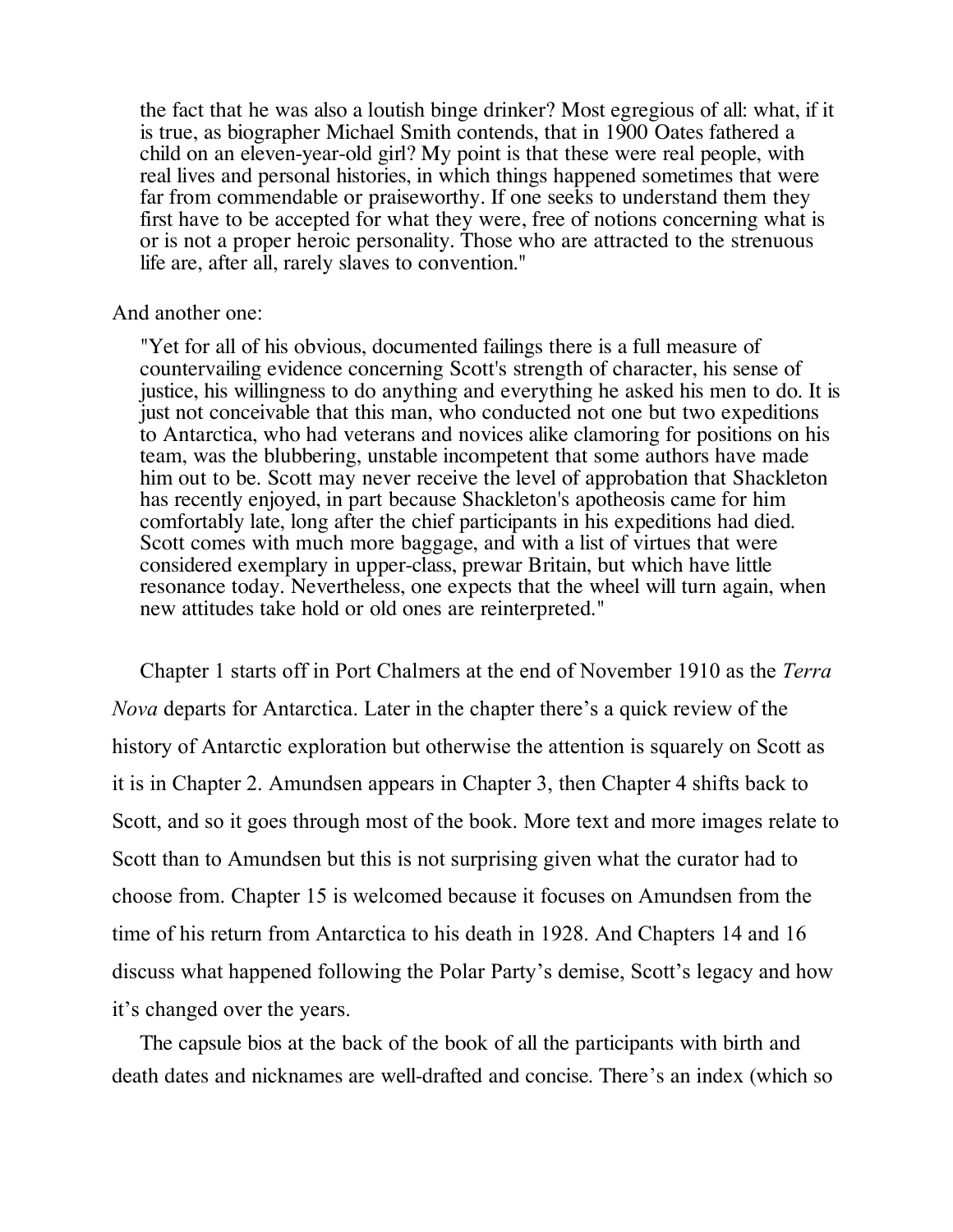the fact that he was also a loutish binge drinker? Most egregious of all: what, if it is true, as biographer Michael Smith contends, that in 1900 Oates fathered a child on an eleven-year-old girl? My point is that these were real people, with real lives and personal histories, in which things happened sometimes that were far from commendable or praiseworthy. If one seeks to understand them they first have to be accepted for what they were, free of notions concerning what is or is not a proper heroic personality. Those who are attracted to the strenuous life are, after all, rarely slaves to convention."

## And another one:

"Yet for all of his obvious, documented failings there is a full measure of countervailing evidence concerning Scott's strength of character, his sense of justice, his willingness to do anything and everything he asked his men to do. It is just not conceivable that this man, who conducted not one but two expeditions to Antarctica, who had veterans and novices alike clamoring for positions on his team, was the blubbering, unstable incompetent that some authors have made him out to be. Scott may never receive the level of approbation that Shackleton has recently enjoyed, in part because Shackleton's apotheosis came for him comfortably late, long after the chief participants in his expeditions had died. Scott comes with much more baggage, and with a list of virtues that were considered exemplary in upper-class, prewar Britain, but which have little resonance today. Nevertheless, one expects that the wheel will turn again, when new attitudes take hold or old ones are reinterpreted."

Chapter 1 starts off in Port Chalmers at the end of November 1910 as the *Terra Nova* departs for Antarctica. Later in the chapter there's a quick review of the history of Antarctic exploration but otherwise the attention is squarely on Scott as it is in Chapter 2. Amundsen appears in Chapter 3, then Chapter 4 shifts back to Scott, and so it goes through most of the book. More text and more images relate to Scott than to Amundsen but this is not surprising given what the curator had to choose from. Chapter 15 is welcomed because it focuses on Amundsen from the time of his return from Antarctica to his death in 1928. And Chapters 14 and 16 discuss what happened following the Polar Party's demise, Scott's legacy and how it's changed over the years.

The capsule bios at the back of the book of all the participants with birth and death dates and nicknames are well-drafted and concise. There's an index (which so